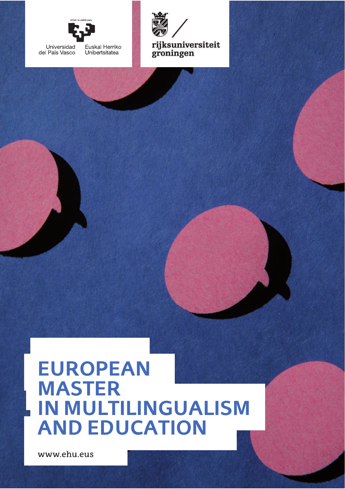



rijksuniversit groningen

# **EUROPEAN MASTER IN MULTILINGUALISM AND EDUCATION**

www.ehu.eus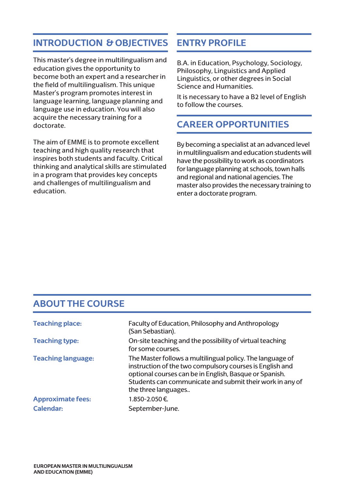# **INTRODUCTION & OBJECTIVES**

This master's degree in multilingualism and education gives the opportunity to become both an expert and a researcher in the field of multilingualism. This unique Master's program promotes interest in language learning, language planning and language use in education. You will also acquire the necessary training for a doctorate.

The aim of EMME is to promote excellent teaching and high quality research that inspires both students and faculty. Critical thinking and analytical skills are stimulated in a program that provides key concepts and challenges of multilingualism and education.

# **ENTRY PROFILE**

B.A. in Education, Psychology, Sociology, Philosophy, Linguistics and Applied Linguistics, or other degrees in Social Science and Humanities.

It is necessary to have a B2 level of English to follow the courses.

#### **CAREER OPPORTUNITIES**

By becoming a specialist at an advanced level in multilingualism and education students will have the possibility to work as coordinators for language planning at schools, town halls and regional and national agencies. The master also provides the necessary training to enter a doctorate program.

### **ABOUT THE COURSE**

| <b>Teaching place:</b>    | Faculty of Education, Philosophy and Anthropology<br>(San Sebastian).                                                                                                                                                                                              |  |
|---------------------------|--------------------------------------------------------------------------------------------------------------------------------------------------------------------------------------------------------------------------------------------------------------------|--|
| <b>Teaching type:</b>     | On-site teaching and the possibility of virtual teaching<br>for some courses.                                                                                                                                                                                      |  |
| <b>Teaching language:</b> | The Master follows a multilingual policy. The language of<br>instruction of the two compulsory courses is English and<br>optional courses can be in English, Basque or Spanish.<br>Students can communicate and submit their work in any of<br>the three languages |  |
| <b>Approximate fees:</b>  | 1.850-2.050€                                                                                                                                                                                                                                                       |  |
| Calendar:                 | September-June.                                                                                                                                                                                                                                                    |  |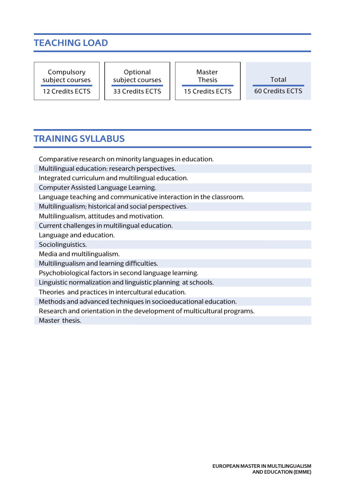# **TEACHING LOAD**

| Compulsory<br>Optional<br>subject courses<br>subject courses<br>33 Credits ECTS<br>12 Credits ECTS | Master<br><b>Thesis</b><br><b>15 Credits ECTS</b> | Total<br>60 Credits ECTS |
|----------------------------------------------------------------------------------------------------|---------------------------------------------------|--------------------------|
|----------------------------------------------------------------------------------------------------|---------------------------------------------------|--------------------------|

#### **TRAINING SYLLABUS**

Comparative research on minority languages in education.

Multilingual education: research perspectives.

Integrated curriculum and multilingual education.

Computer Assisted Language Learning.

Language teaching and communicative interaction in the classroom.

Multilingualism; historical and social perspectives.

Multilingualism, attitudes and motivation.

Current challenges in multilingual education.

Language and education.

Sociolinguistics.

Media and multilingualism.

Multilingualism and learning difficulties.

Psychobiological factors in second language learning.

Linguistic normalization and linguistic planning at schools.

Theories and practices in intercultural education.

Methods and advanced techniques in socioeducational education.

Research and orientation in the development of multicultural programs.

Master thesis.